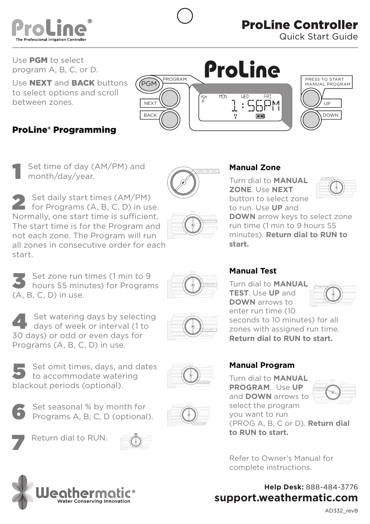

Use PGM to select program A, B, C, or D.

Use **NEXT** and **BACK** buttons to select options and scroll between zones.

## ProLine® Programming



Set time of day (AM/PM) and month/day/year.

2 Set daily start times (AM/PM)<br>for Programs (A, B, C, D) in use. Normally, one start time is sufficient. The start time is for the Program and  $\begin{array}{|c|c|}\hline \multicolumn{1}{|c|}{\qquad}\hline \multicolumn{1}{|c|}{\qquad}\hline \multicolumn{1}{|c|}{\qquad}\hline \multicolumn{1}{|c|}{\qquad}\hline \multicolumn{1}{|c|}{\qquad}\hline \multicolumn{1}{|c|}{\qquad}\hline \multicolumn{1}{|c|}{\qquad}\hline \multicolumn{1}{|c|}{\qquad}\hline \multicolumn{1}{|c|}{\qquad}\hline \multicolumn{1}{|c|}{\qquad}\h$ not each zone. The Program will run all zones in consecutive order for each start. MANUAL TEST

Set zone run times (1 min to 9<br>hours 55 minutes) for Programs (A, B, C, D) in use.

**4** Set watering days by selecting<br>days of week or interval (1 to 30 days) or odd or even days for Programs (A, B, C, D) in use.

SENSOR OPERATION RUN AND SOAK CYCLES  $\circledcirc$ 

MANUAL ZONE

## **OFFERENT Manual Zone**

**ZONE**. Use **NEXT** to run. Use **UP** and Turn dial to **MANUAL** button to select zone



run time (1 min to 9 hours 55 **DOWN** arrow keys to select zone minutes). **Return dial to RUN to start.** 

## **Manual Test**

**DOWN** arrows to **TEST**. Use **UP** and Turn dial to **MANUAL**  enter run time (10 seconds to 10 minutes) for all zones with assigned run time.  $\mathcal{L}$ 

**Return dial to RUN to start.**

# **Manual Program**

**to RUN to start.**

Turn dial to **MANUAL PROGRAM**. Use **UP** and **DOWN** arrows to select the program you want to run

 $\bigcirc$ 

Set seasonal % by month for<br>
Programs A, B, C, D (optional).

5 Set omit times, days, and dates to accommodate watering

Return dial to RUN.

blackout periods (optional).





Refer to Owner's Manual for complete instructions.

(PROG A, B, C or D). **Return dial** 

**Help Desk:** 888-484-3776 **support.weathermatic.com**





 $\circledcirc$ 



 $\circledcirc$ 

 $\circledcirc$